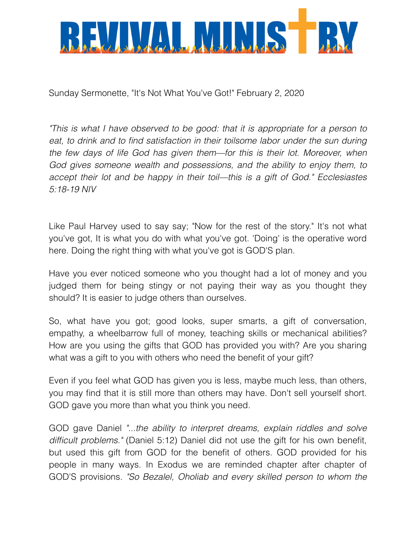

Sunday Sermonette, "It's Not What You've Got!" February 2, 2020

*"This is what I have observed to be good: that it is appropriate for a person to*  eat, to drink and to find satisfaction in their toilsome labor under the sun during *the few days of life God has given them—for this is their lot. Moreover, when*  God gives someone wealth and possessions, and the ability to enjoy them, to *accept their lot and be happy in their toil—this is a gift of God." Ecclesiastes 5:18-19 NIV* 

Like Paul Harvey used to say say; "Now for the rest of the story." It's not what you've got, It is what you do with what you've got. 'Doing' is the operative word here. Doing the right thing with what you've got is GOD'S plan.

Have you ever noticed someone who you thought had a lot of money and you judged them for being stingy or not paying their way as you thought they should? It is easier to judge others than ourselves.

So, what have you got; good looks, super smarts, a gift of conversation, empathy, a wheelbarrow full of money, teaching skills or mechanical abilities? How are you using the gifts that GOD has provided you with? Are you sharing what was a gift to you with others who need the benefit of your gift?

Even if you feel what GOD has given you is less, maybe much less, than others, you may find that it is still more than others may have. Don't sell yourself short. GOD gave you more than what you think you need.

GOD gave Daniel *"...the ability to interpret dreams, explain riddles and solve difficult problems."* (Daniel 5:12) Daniel did not use the gift for his own benefit, but used this gift from GOD for the benefit of others. GOD provided for his people in many ways. In Exodus we are reminded chapter after chapter of GOD'S provisions. *"So Bezalel, Oholiab and every skilled person to whom the*